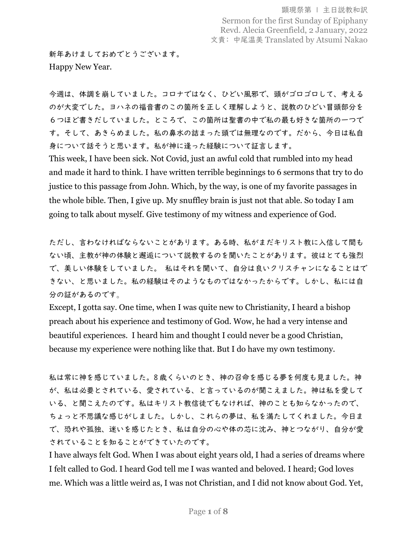新年あけましておめでとうございます。 Happy New Year.

今週は、体調を崩していました。コロナではなく、ひどい風邪で、頭がゴロゴロして、考える のが大変でした。ヨハネの福音書のこの箇所を正しく理解しようと、説教のひどい冒頭部分を 6つほど書きだしていました。ところで、この箇所は聖書の中で私の最も好きな箇所の一つで す。そして、あきらめました。私の鼻水の詰まった頭では無理なのです。だから、今日は私自 身について話そうと思います。私が神に逢った経験について証言します。

This week, I have been sick. Not Covid, just an awful cold that rumbled into my head and made it hard to think. I have written terrible beginnings to 6 sermons that try to do justice to this passage from John. Which, by the way, is one of my favorite passages in the whole bible. Then, I give up. My snuffley brain is just not that able. So today I am going to talk about myself. Give testimony of my witness and experience of God.

ただし、言わなければならないことがあります。ある時、私がまだキリスト教に入信して間も ない頃、主教が神の体験と邂逅について説教するのを聞いたことがあります。彼はとても強烈 で、美しい体験をしていました。 私はそれを聞いて、自分は良いクリスチャンになることはで きない、と思いました。私の経験はそのようなものではなかったからです。しかし、私には自 分の証があるのです。

Except, I gotta say. One time, when I was quite new to Christianity, I heard a bishop preach about his experience and testimony of God. Wow, he had a very intense and beautiful experiences. I heard him and thought I could never be a good Christian, because my experience were nothing like that. But I do have my own testimony.

私は常に神を感じていました。8 歳くらいのとき、神の召命を感じる夢を何度も見ました。神 が、私は必要とされている、愛されている、と言っているのが聞こえました。神は私を愛して いる、と聞こえたのです。私はキリスト教信徒でもなければ、神のことも知らなかったので、 ちょっと不思議な感じがしました。しかし、これらの夢は、私を満たしてくれました。今日ま で、恐れや孤独、迷いを感じたとき、私は自分の心や体の芯に沈み、神とつながり、自分が愛 されていることを知ることができていたのです。

I have always felt God. When I was about eight years old, I had a series of dreams where I felt called to God. I heard God tell me I was wanted and beloved. I heard; God loves me. Which was a little weird as, I was not Christian, and I did not know about God. Yet,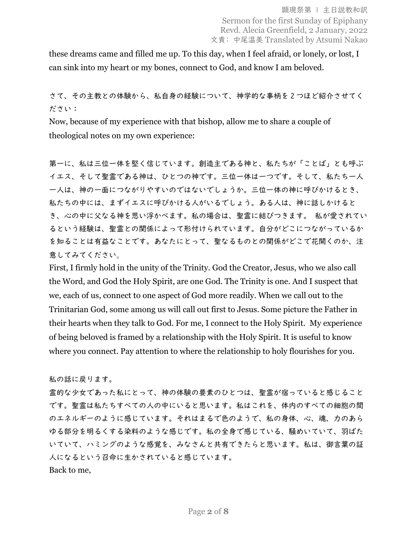these dreams came and filled me up. To this day, when I feel afraid, or lonely, or lost, I can sink into my heart or my bones, connect to God, and know I am beloved.

## さて、その主教との体験から、私自身の経験について、神学的な事柄を 2 つほど紹介させてく ださい:

Now, because of my experience with that bishop, allow me to share a couple of theological notes on my own experience:

第一に、私は三位一体を堅く信じています。創造主である神と、私たちが「ことば」とも呼ぶ イエス、そして聖霊である神は、ひとつの神です。三位一体は一つです。そして、私たち一人 一人は、神の一面につながりやすいのではないでしょうか。三位一体の神に呼びかけるとき、 私たちの中には、まずイエスに呼びかける人がいるでしょう。ある人は、神に話しかけると き、心の中に父なる神を思い浮かべます。私の場合は、聖霊に結びつきます。 私が愛されてい るという経験は、聖霊との関係によって形付けられています。自分がどこにつながっているか を知ることは有益なことです。あなたにとって、聖なるものとの関係がどこで花開くのか、注 意してみてください。

First, I firmly hold in the unity of the Trinity. God the Creator, Jesus, who we also call the Word, and God the Holy Spirit, are one God. The Trinity is one. And I suspect that we, each of us, connect to one aspect of God more readily. When we call out to the Trinitarian God, some among us will call out first to Jesus. Some picture the Father in their hearts when they talk to God. For me, I connect to the Holy Spirit. My experience of being beloved is framed by a relationship with the Holy Spirit. It is useful to know where you connect. Pay attention to where the relationship to holy flourishes for you.

私の話に戻ります。

霊的な少女であった私にとって、神の体験の要素のひとつは、聖霊が宿っていると感じること です。聖霊は私たちすべての人の中にいると思います。私はこれを、体内のすべての細胞の間 のエネルギーのように感じています。それはまるで色のようで、私の身体、心、魂、力のあら ゆる部分を明るくする染料のような感じです。私の全身で感じている、騒めいていて、羽ばた いていて、ハミングのような感覚を、みなさんと共有できたらと思います。私は、御言葉の証 人になるという召命に生かされていると感じています。 Back to me,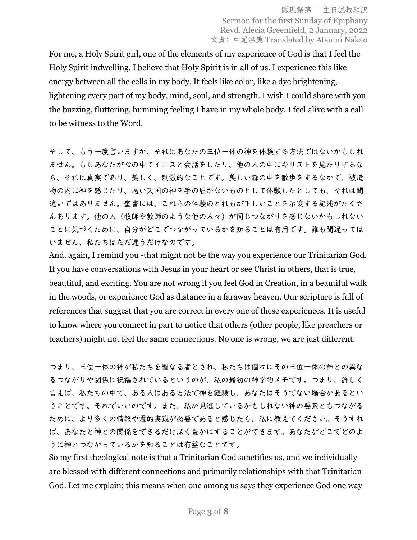For me, a Holy Spirit girl, one of the elements of my experience of God is that I feel the Holy Spirit indwelling. I believe that Holy Spirit is in all of us. I experience this like energy between all the cells in my body. It feels like color, like a dye brightening, lightening every part of my body, mind, soul, and strength. I wish I could share with you the buzzing, fluttering, humming feeling I have in my whole body. I feel alive with a call to be witness to the Word.

そして、もう一度言いますが、それはあなたの三位一体の神を体験する方法ではないかもしれ ません。もしあなたが心の中でイエスと会話をしたり、他の人の中にキリストを見たりするな ら、それは真実であり、美しく、刺激的なことです。美しい森の中を散歩をするなかで、被造 物の内に神を感じたり、遠い天国の神を手の届かないものとして体験したとしても、それは間 違いではありません。聖書には、これらの体験のどれもが正しいことを示唆する記述がたくさ んあります。他の人(牧師や教師のような他の人々)が同じつながりを感じないかもしれない ことに気づくために、自分がどこでつながっているかを知ることは有用です。誰も間違っては いません、私たちはただ違うだけなのです。

And, again, I remind you -that might not be the way you experience our Trinitarian God. If you have conversations with Jesus in your heart or see Christ in others, that is true, beautiful, and exciting. You are not wrong if you feel God in Creation, in a beautiful walk in the woods, or experience God as distance in a faraway heaven. Our scripture is full of references that suggest that you are correct in every one of these experiences. It is useful to know where you connect in part to notice that others (other people, like preachers or teachers) might not feel the same connections. No one is wrong, we are just different.

つまり、三位一体の神が私たちを聖なる者とされ、私たちは個々にその三位一体の神との異な るつながりや関係に祝福されているというのが、私の最初の神学的メモです。つまり、詳しく 言えば、私たちの中で、ある人はある方法で神を経験し、あなたはそうでない場合があるとい うことです。それでいいのです。また、私が見逃しているかもしれない神の要素ともつながる ために、より多くの情報や霊的実践が必要であると感じたら、私に教えてください。そうすれ ば、あなたと神との関係をできるだけ深く豊かにすることができます。あなたがどこでどのよ うに神とつながっているかを知ることは有益なことです。

So my first theological note is that a Trinitarian God sanctifies us, and we individually are blessed with different connections and primarily relationships with that Trinitarian God. Let me explain; this means when one among us says they experience God one way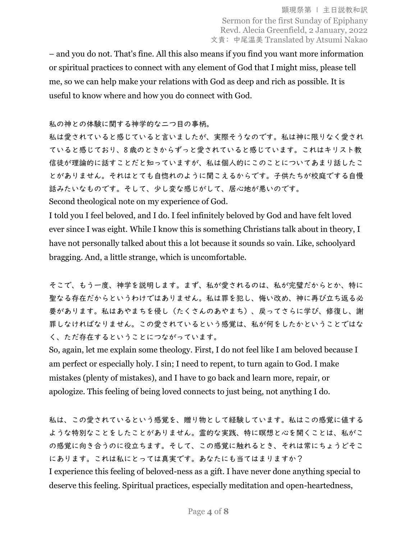– and you do not. That's fine. All this also means if you find you want more information or spiritual practices to connect with any element of God that I might miss, please tell me, so we can help make your relations with God as deep and rich as possible. It is useful to know where and how you do connect with God.

## 私の神との体験に関する神学的な二つ目の事柄。

私は愛されていると感じていると言いましたが、実際そうなのです。私は神に限りなく愛され ていると感じており、8 歳のときからずっと愛されていると感じています。これはキリスト教 信徒が理論的に話すことだと知っていますが、私は個人的にこのことについてあまり話したこ とがありません。それはとても自惚れのように聞こえるからです。子供たちが校庭でする自慢 話みたいなものです。そして、少し変な感じがして、居心地が悪いのです。 Second theological note on my experience of God.

I told you I feel beloved, and I do. I feel infinitely beloved by God and have felt loved ever since I was eight. While I know this is something Christians talk about in theory, I have not personally talked about this a lot because it sounds so vain. Like, schoolyard bragging. And, a little strange, which is uncomfortable.

そこで、もう一度、神学を説明します。まず、私が愛されるのは、私が完璧だからとか、特に 聖なる存在だからというわけではありません。私は罪を犯し、悔い改め、神に再び立ち返る必 要があります。私はあやまちを侵し(たくさんのあやまち)、戻ってさらに学び、修復し、謝 罪しなければなりません。この愛されているという感覚は、私が何をしたかということではな く、ただ存在するということにつながっています。

So, again, let me explain some theology. First, I do not feel like I am beloved because I am perfect or especially holy. I sin; I need to repent, to turn again to God. I make mistakes (plenty of mistakes), and I have to go back and learn more, repair, or apologize. This feeling of being loved connects to just being, not anything I do.

私は、この愛されているという感覚を、贈り物として経験しています。私はこの感覚に値する ような特別なことをしたことがありません。霊的な実践、特に瞑想と心を開くことは、私がこ の感覚に向き合うのに役立ちます。そして、この感覚に触れるとき、それは常にちょうどそこ にあります。これは私にとっては真実です。あなたにも当てはまりますか? I experience this feeling of beloved-ness as a gift. I have never done anything special to deserve this feeling. Spiritual practices, especially meditation and open-heartedness,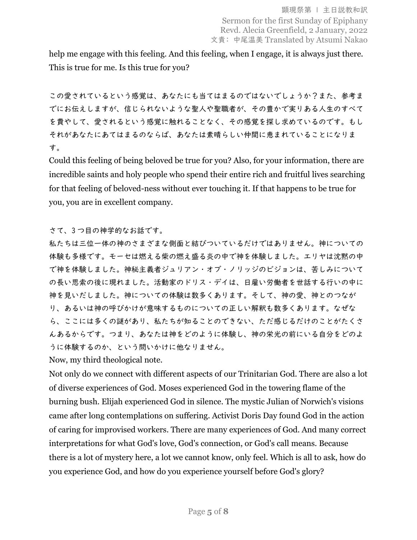help me engage with this feeling. And this feeling, when I engage, it is always just there. This is true for me. Is this true for you?

この愛されているという感覚は、あなたにも当てはまるのではないでしょうか?また、参考ま でにお伝えしますが、信じられないような聖人や聖職者が、その豊かで実りある人生のすべて を費やして、愛されるという感覚に触れることなく、その感覚を探し求めているのです。もし それがあなたにあてはまるのならば、あなたは素晴らしい仲間に恵まれていることになりま す。

Could this feeling of being beloved be true for you? Also, for your information, there are incredible saints and holy people who spend their entire rich and fruitful lives searching for that feeling of beloved-ness without ever touching it. If that happens to be true for you, you are in excellent company.

さて、3 つ目の神学的なお話です。

私たちは三位一体の神のさまざまな側面と結びついているだけではありません。神についての 体験も多様です。モーセは燃える柴の燃え盛る炎の中で神を体験しました。エリヤは沈黙の中 で神を体験しました。神秘主義者ジュリアン・オブ・ノリッジのビジョンは、苦しみについて の長い思索の後に現れました。活動家のドリス・デイは、日雇い労働者を世話する行いの中に 神を見いだしました。神についての体験は数多くあります。そして、神の愛、神とのつなが り、あるいは神の呼びかけが意味するものについての正しい解釈も数多くあります。なぜな ら、ここには多くの謎があり、私たちが知ることのできない、ただ感じるだけのことがたくさ んあるからです。つまり、あなたは神をどのように体験し、神の栄光の前にいる自分をどのよ うに体験するのか、という問いかけに他なりません。

Now, my third theological note.

Not only do we connect with different aspects of our Trinitarian God. There are also a lot of diverse experiences of God. Moses experienced God in the towering flame of the burning bush. Elijah experienced God in silence. The mystic Julian of Norwich's visions came after long contemplations on suffering. Activist Doris Day found God in the action of caring for improvised workers. There are many experiences of God. And many correct interpretations for what God's love, God's connection, or God's call means. Because there is a lot of mystery here, a lot we cannot know, only feel. Which is all to ask, how do you experience God, and how do you experience yourself before God's glory?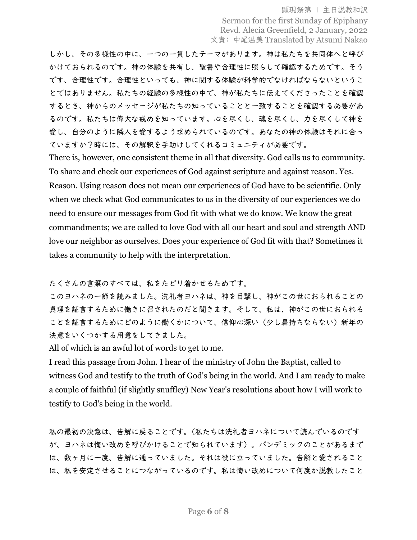頭現祭第 | 主日説教和訳 Sermon for the first Sunday of Epiphany Revd. Alecia Greenfield, 2 January, 2022 文責: 中尾温美 Translated by Atsumi Nakao

しかし、その多様性の中に、一つの一貫したテーマがあります。神は私たちを共同体へと呼び かけておられるのです。神の体験を共有し、聖書や合理性に照らして確認するためです。そう です、合理性です。合理性といっても、神に関する体験が科学的でなければならないというこ とではありません。私たちの経験の多様性の中で、神が私たちに伝えてくださったことを確認 するとき、神からのメッセージが私たちの知っていることと一致することを確認する必要があ るのです。私たちは偉大な戒めを知っています。心を尽くし、魂を尽くし、力を尽くして神を 愛し、自分のように隣人を愛するよう求められているのです。あなたの神の体験はそれに合っ ていますか?時には、その解釈を手助けしてくれるコミュニティが必要です。

There is, however, one consistent theme in all that diversity. God calls us to community. To share and check our experiences of God against scripture and against reason. Yes. Reason. Using reason does not mean our experiences of God have to be scientific. Only when we check what God communicates to us in the diversity of our experiences we do need to ensure our messages from God fit with what we do know. We know the great commandments; we are called to love God with all our heart and soul and strength AND love our neighbor as ourselves. Does your experience of God fit with that? Sometimes it takes a community to help with the interpretation.

たくさんの言葉のすべては、私をたどり着かせるためです。

このヨハネの一節を読みました。洗礼者ヨハネは、神を目撃し、神がこの世におられることの 真理を証言するために働きに召されたのだと聞きます。そして、私は、神がこの世におられる ことを証言するためにどのように働くかについて、信仰心深い(少し鼻持ちならない)新年の 決意をいくつかする用意をしてきました。

All of which is an awful lot of words to get to me.

I read this passage from John. I hear of the ministry of John the Baptist, called to witness God and testify to the truth of God's being in the world. And I am ready to make a couple of faithful (if slightly snuffley) New Year's resolutions about how I will work to testify to God's being in the world.

私の最初の決意は、告解に戻ることです。(私たちは洗礼者ヨハネについて読んでいるのです が、ヨハネは悔い改めを呼びかけることで知られています)。パンデミックのことがあるまで は、数ヶ月に一度、告解に通っていました。それは役に立っていました。告解と愛されること は、私を安定させることにつながっているのです。私は悔い改めについて何度か説教したこと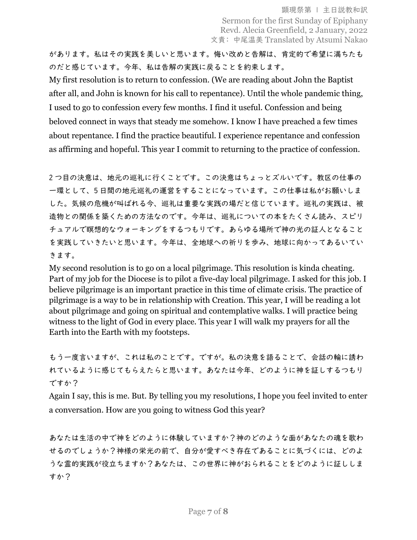があります。私はその実践を美しいと思います。悔い改めと告解は、肯定的で希望に満ちたも のだと感じています。今年、私は告解の実践に戻ることを約束します。

My first resolution is to return to confession. (We are reading about John the Baptist after all, and John is known for his call to repentance). Until the whole pandemic thing, I used to go to confession every few months. I find it useful. Confession and being beloved connect in ways that steady me somehow. I know I have preached a few times about repentance. I find the practice beautiful. I experience repentance and confession as affirming and hopeful. This year I commit to returning to the practice of confession.

2 つ目の決意は、地元の巡礼に行くことです。この決意はちょっとズルいです。教区の仕事の 一環として、5 日間の地元巡礼の運営をすることになっています。この仕事は私がお願いしま した。気候の危機が叫ばれる今、巡礼は重要な実践の場だと信じています。巡礼の実践は、被 造物との関係を築くための方法なのです。今年は、巡礼についての本をたくさん読み、スピリ チュアルで瞑想的なウォーキングをするつもりです。あらゆる場所で神の光の証人となること を実践していきたいと思います。今年は、全地球への祈りを歩み、地球に向かってあるいてい きます。

My second resolution is to go on a local pilgrimage. This resolution is kinda cheating. Part of my job for the Diocese is to pilot a five-day local pilgrimage. I asked for this job. I believe pilgrimage is an important practice in this time of climate crisis. The practice of pilgrimage is a way to be in relationship with Creation. This year, I will be reading a lot about pilgrimage and going on spiritual and contemplative walks. I will practice being witness to the light of God in every place. This year I will walk my prayers for all the Earth into the Earth with my footsteps.

もう一度言いますが、これは私のことです。ですが。私の決意を語ることで、会話の輪に誘わ れているように感じてもらえたらと思います。あなたは今年、どのように神を証しするつもり ですか?

Again I say, this is me. But. By telling you my resolutions, I hope you feel invited to enter a conversation. How are you going to witness God this year?

あなたは生活の中で神をどのように体験していますか?神のどのような面があなたの魂を歌わ せるのでしょうか?神様の栄光の前で、自分が愛すべき存在であることに気づくには、どのよ うな霊的実践が役立ちますか?あなたは、この世界に神がおられることをどのように証ししま すか?